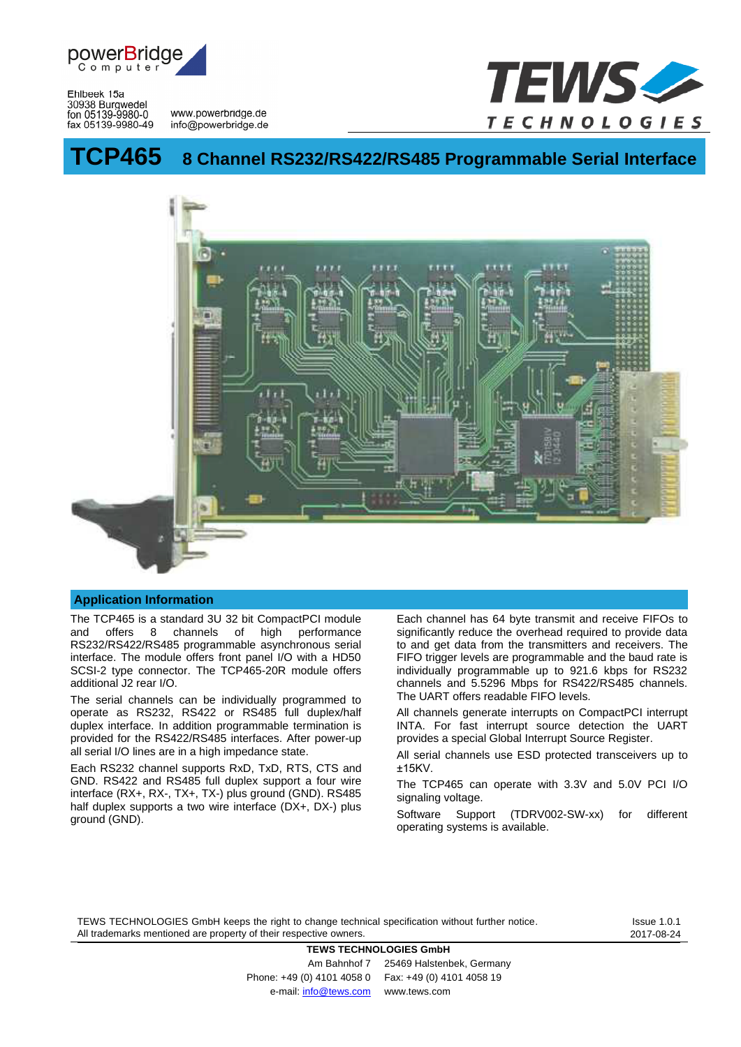

Ehlbeek 15a 30938 Burgwedel

fon 05139-9980-0<br>
fax 05139-9980-49 info@powerbridge.de



# **TCP465 8 Channel RS232/RS422/RS485 Programmable Serial Interface**



#### **Application Information**

The TCP465 is a standard 3U 32 bit CompactPCI module and offers 8 channels of high performance RS232/RS422/RS485 programmable asynchronous serial interface. The module offers front panel I/O with a HD50 SCSI-2 type connector. The TCP465-20R module offers additional J2 rear I/O.

The serial channels can be individually programmed to operate as RS232, RS422 or RS485 full duplex/half duplex interface. In addition programmable termination is provided for the RS422/RS485 interfaces. After power-up all serial I/O lines are in a high impedance state.

Each RS232 channel supports RxD, TxD, RTS, CTS and GND. RS422 and RS485 full duplex support a four wire interface (RX+, RX-, TX+, TX-) plus ground (GND). RS485 half duplex supports a two wire interface (DX+, DX-) plus ground (GND).

Each channel has 64 byte transmit and receive FIFOs to significantly reduce the overhead required to provide data to and get data from the transmitters and receivers. The FIFO trigger levels are programmable and the baud rate is individually programmable up to 921.6 kbps for RS232 channels and 5.5296 Mbps for RS422/RS485 channels. The UART offers readable FIFO levels.

All channels generate interrupts on CompactPCI interrupt INTA. For fast interrupt source detection the UART provides a special Global Interrupt Source Register.

All serial channels use ESD protected transceivers up to ±15KV.

The TCP465 can operate with 3.3V and 5.0V PCI I/O signaling voltage.

Software Support (TDRV002-SW-xx) for different operating systems is available.

TEWS TECHNOLOGIES GmbH keeps the right to change technical specification without further notice. All trademarks mentioned are property of their respective owners.

**TEWS TECHNOLOGIES GmbH**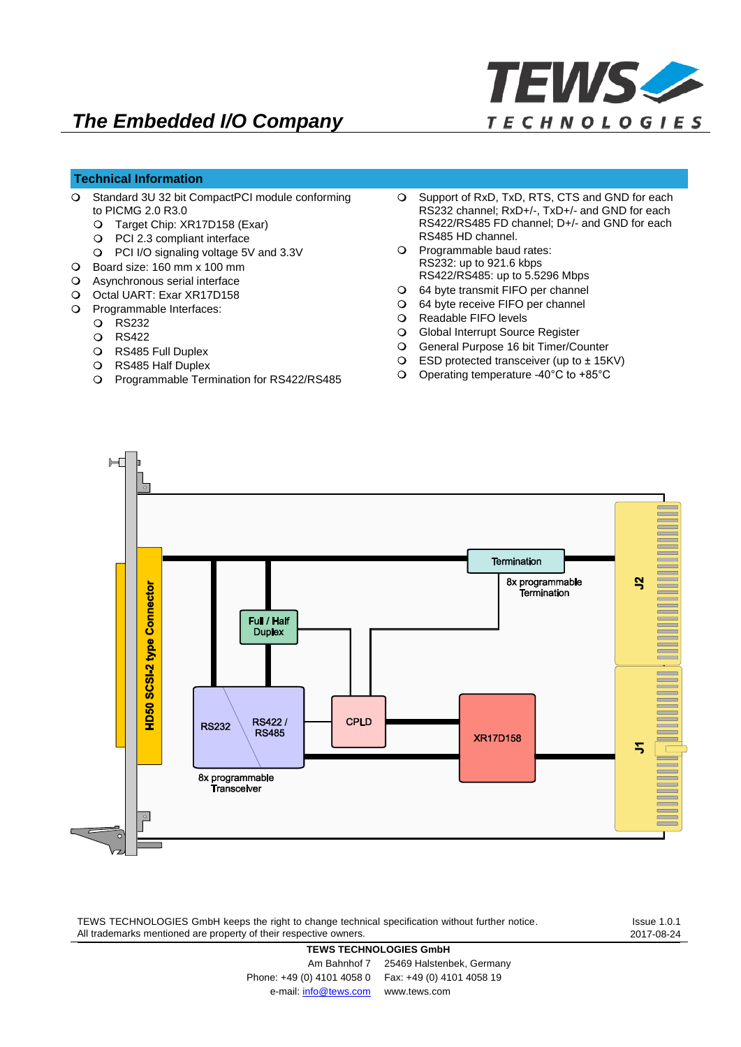

# **Technical Information**

- $\overline{O}$ Standard 3U 32 bit CompactPCI module conforming to PICMG 2.0 R3.0
	- Target Chip: XR17D158 (Exar)
	- PCI 2.3 compliant interface
	- PCI I/O signaling voltage 5V and 3.3V
- Board size: 160 mm x 100 mm
- Asynchronous serial interface
- O Octal UART: Exar XR17D158
- O Programmable Interfaces:
	- RS232
	- Q RS422
	- O RS485 Full Duplex
	- RS485 Half Duplex
	- O Programmable Termination for RS422/RS485
- Support of RxD, TxD, RTS, CTS and GND for each  $\Omega$ RS232 channel; RxD+/-, TxD+/- and GND for each RS422/RS485 FD channel; D+/- and GND for each RS485 HD channel.
- O Programmable baud rates: RS232: up to 921.6 kbps RS422/RS485: up to 5.5296 Mbps
- 64 byte transmit FIFO per channel
- 64 byte receive FIFO per channel
- O Readable FIFO levels
- Global Interrupt Source Register
- General Purpose 16 bit Timer/Counter
- ESD protected transceiver (up to ±15KV)
- Operating temperature -40°C to +85°C



TEWS TECHNOLOGIES GmbH keeps the right to change technical specification without further notice. All trademarks mentioned are property of their respective owners.

Issue 1.0.1 2017-08-24

#### **TEWS TECHNOLOGIES GmbH**

Am Bahnhof 7 25469 Halstenbek, Germany Phone: +49 (0) 4101 4058 0 Fax: +49 (0) 4101 4058 19 e-mail: [info@tews.com](mailto:info@tews.com) <www.tews.com>